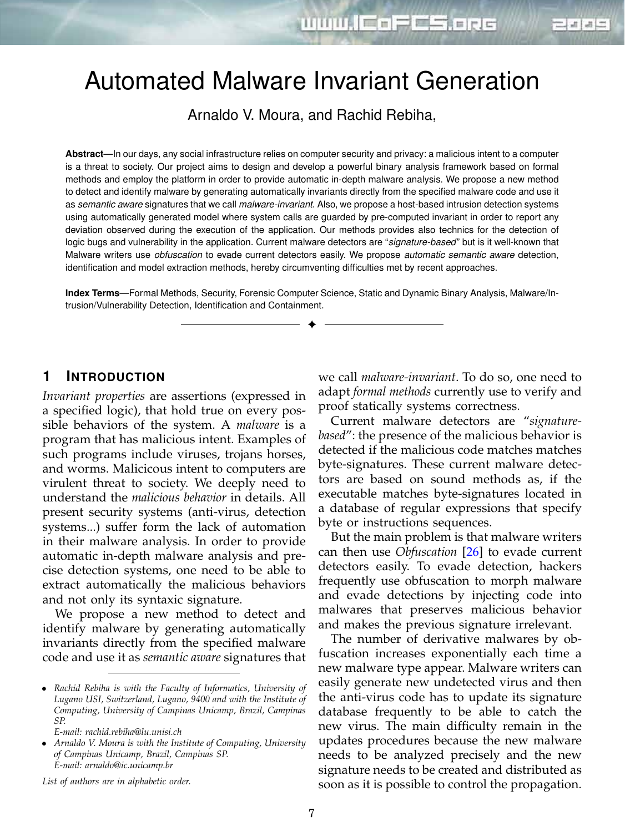디레헤드

# Automated Malware Invariant Generation

Arnaldo V. Moura, and Rachid Rebiha,

Abstract—In our days, any social infrastructure relies on computer security and privacy: a malicious intent to a computer is a threat to society. Our project aims to design and develop a powerful binary analysis framework based on formal methods and employ the platform in order to provide automatic in-depth malware analysis. We propose a new method to detect and identify malware by generating automatically invariants directly from the specified malware code and use it as *semantic aware* signatures that we call *malware-invariant*. Also, we propose a host-based intrusion detection systems using automatically generated model where system calls are guarded by pre-computed invariant in order to report any deviation observed during the execution of the application. Our methods provides also technics for the detection of logic bugs and vulnerability in the application. Current malware detectors are "*signature-based*" but is it well-known that Malware writers use *obfuscation* to evade current detectors easily. We propose *automatic semantic aware* detection, identification and model extraction methods, hereby circumventing difficulties met by recent approaches.

**Index Terms**—Formal Methods, Security, Forensic Computer Science, Static and Dynamic Binary Analysis, Malware/Intrusion/Vulnerability Detection, Identification and Containment.

✦

### **1 INTRODUCTION**

*Invariant properties* are assertions (expressed in a specified logic), that hold true on every possible behaviors of the system. A *malware* is a program that has malicious intent. Examples of such programs include viruses, trojans horses, and worms. Malicicous intent to computers are virulent threat to society. We deeply need to understand the *malicious behavior* in details. All present security systems (anti-virus, detection systems...) suffer form the lack of automation in their malware analysis. In order to provide automatic in-depth malware analysis and precise detection systems, one need to be able to extract automatically the malicious behaviors and not only its syntaxic signature.

We propose a new method to detect and identify malware by generating automatically invariants directly from the specified malware code and use it as *semantic aware* signatures that

*E-mail: rachid.rebiha@lu.unisi.ch*

*List of authors are in alphabetic order.*

we call *malware-invariant*. To do so, one need to adapt *formal methods* currently use to verify and proof statically systems correctness.

Current malware detectors are "*signaturebased*": the presence of the malicious behavior is detected if the malicious code matches matches byte-signatures. These current malware detectors are based on sound methods as, if the executable matches byte-signatures located in a database of regular expressions that specify byte or instructions sequences.

But the main problem is that malware writers can then use *Obfuscation* [26] to evade current detectors easily. To evade detection, hackers frequently use obfuscation to morph malware and evade detections by injecting code into malwares that preserves malicious behavior and makes the previous signature irrelevant.

The number of derivative malwares by obfuscation increases exponentially each time a new malware type appear. Malware writers can easily generate new undetected virus and then the anti-virus code has to update its signature database frequently to be able to catch the new virus. The main difficulty remain in the updates procedures because the new malware needs to be analyzed precisely and the new signature needs to be created and distributed as soon as it is possible to control the propagation.

<sup>∙</sup> *Rachid Rebiha is with the Faculty of Informatics, University of Lugano USI, Switzerland, Lugano, 9400 and with the Institute of Computing, University of Campinas Unicamp, Brazil, Campinas SP.*

<sup>∙</sup> *Arnaldo V. Moura is with the Institute of Computing, University of Campinas Unicamp, Brazil, Campinas SP. E-mail: arnaldo@ic.unicamp.br*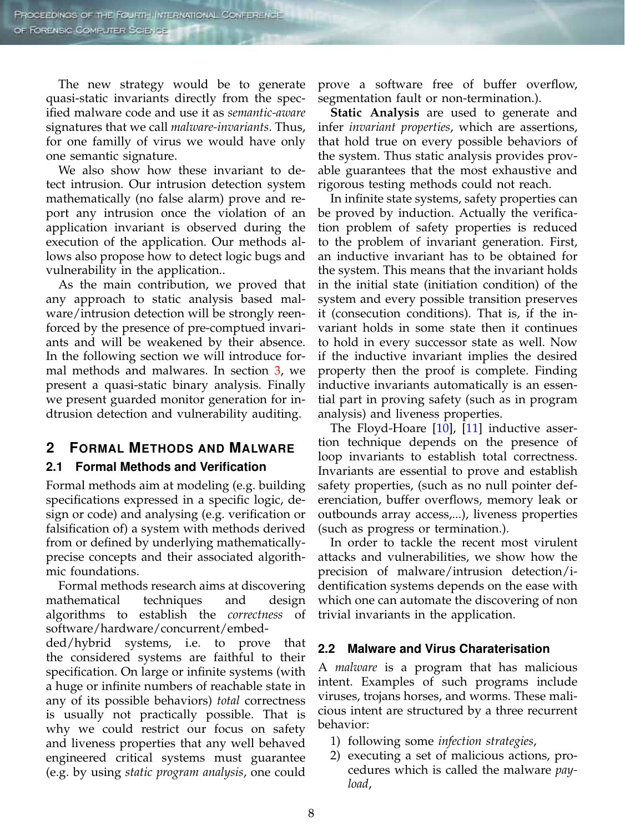The new strategy would be to generate quasi-static invariants directly from the specified malware code and use it as *semantic-aware* signatures that we call *malware-invariants*. Thus, for one familly of virus we would have only one semantic signature.

We also show how these invariant to detect intrusion. Our intrusion detection system mathematically (no false alarm) prove and report any intrusion once the violation of an application invariant is observed during the execution of the application. Our methods allows also propose how to detect logic bugs and vulnerability in the application..

As the main contribution, we proved that any approach to static analysis based malware/intrusion detection will be strongly reenforced by the presence of pre-comptued invariants and will be weakened by their absence. In the following section we will introduce formal methods and malwares. In section 3, we present a quasi-static binary analysis. Finally we present guarded monitor generation for indtrusion detection and vulnerability auditing.

## **2 FORMAL METHODS AND MALWARE**

#### **2.1 Formal Methods and Verification**

Formal methods aim at modeling (e.g. building specifications expressed in a specific logic, design or code) and analysing (e.g. verification or falsification of) a system with methods derived from or defined by underlying mathematicallyprecise concepts and their associated algorithmic foundations.

Formal methods research aims at discovering mathematical techniques and design algorithms to establish the *correctness* of software/hardware/concurrent/embed-

ded/hybrid systems, i.e. to prove that the considered systems are faithful to their specification. On large or infinite systems (with a huge or infinite numbers of reachable state in any of its possible behaviors) *total* correctness is usually not practically possible. That is why we could restrict our focus on safety and liveness properties that any well behaved engineered critical systems must guarantee (e.g. by using *static program analysis*, one could

prove a software free of buffer overflow, segmentation fault or non-termination.).

**Static Analysis** are used to generate and infer *invariant properties*, which are assertions, that hold true on every possible behaviors of the system. Thus static analysis provides provable guarantees that the most exhaustive and rigorous testing methods could not reach.

In infinite state systems, safety properties can be proved by induction. Actually the verification problem of safety properties is reduced to the problem of invariant generation. First, an inductive invariant has to be obtained for the system. This means that the invariant holds in the initial state (initiation condition) of the system and every possible transition preserves it (consecution conditions). That is, if the invariant holds in some state then it continues to hold in every successor state as well. Now if the inductive invariant implies the desired property then the proof is complete. Finding inductive invariants automatically is an essential part in proving safety (such as in program analysis) and liveness properties.

The Floyd-Hoare [10], [11] inductive assertion technique depends on the presence of loop invariants to establish total correctness. Invariants are essential to prove and establish safety properties, (such as no null pointer deferenciation, buffer overflows, memory leak or outbounds array access,...), liveness properties (such as progress or termination.).

In order to tackle the recent most virulent attacks and vulnerabilities, we show how the precision of malware/intrusion detection/identification systems depends on the ease with which one can automate the discovering of non trivial invariants in the application.

## **2.2 Malware and Virus Charaterisation**

A *malware* is a program that has malicious intent. Examples of such programs include viruses, trojans horses, and worms. These malicious intent are structured by a three recurrent behavior:

- 1) following some *infection strategies*,
- 2) executing a set of malicious actions, procedures which is called the malware *payload*,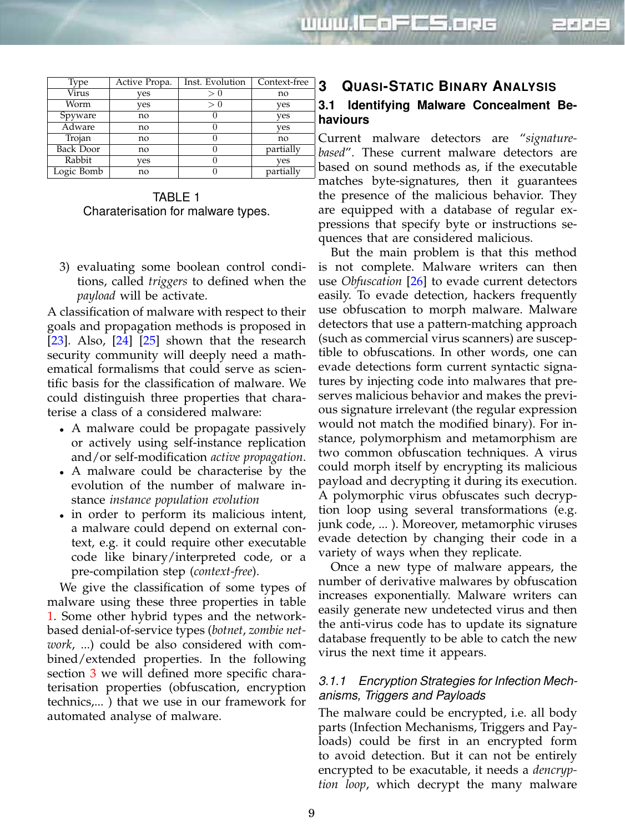| Type             | Active Propa. | Inst. Evolution | Context-free |
|------------------|---------------|-----------------|--------------|
| Virus            | yes           | > 0             | no           |
| Worm             | yes           | > 0             | yes          |
| Spyware          | no            |                 | yes          |
| Adware           | no            |                 | yes          |
| Trojan           | no            |                 | no           |
| <b>Back Door</b> | no            |                 | partially    |
| Rabbit           | yes           |                 | yes          |
| Logic Bomb       | no            |                 | partially    |

TABLE 1 Charaterisation for malware types.

3) evaluating some boolean control conditions, called *triggers* to defined when the *payload* will be activate.

A classification of malware with respect to their goals and propagation methods is proposed in [23]. Also,  $[24]$  [25] shown that the research security community will deeply need a mathematical formalisms that could serve as scientific basis for the classification of malware. We could distinguish three properties that charaterise a class of a considered malware:

- <sup>∙</sup> A malware could be propagate passively or actively using self-instance replication and/or self-modification *active propagation*.
- <sup>∙</sup> A malware could be characterise by the evolution of the number of malware instance *instance population evolution*
- <sup>∙</sup> in order to perform its malicious intent, a malware could depend on external context, e.g. it could require other executable code like binary/interpreted code, or a pre-compilation step (*context-free*).

We give the classification of some types of malware using these three properties in table 1. Some other hybrid types and the networkbased denial-of-service types (*botnet*, *zombie network*, ...) could be also considered with combined/extended properties. In the following section 3 we will defined more specific charaterisation properties (obfuscation, encryption technics,... ) that we use in our framework for automated analyse of malware.

# **3 QUASI-STATIC BINARY ANALYSIS 3.1 Identifying Malware Concealment Behaviours**

디페리드

Current malware detectors are "*signaturebased*". These current malware detectors are based on sound methods as, if the executable matches byte-signatures, then it guarantees the presence of the malicious behavior. They are equipped with a database of regular expressions that specify byte or instructions sequences that are considered malicious.

But the main problem is that this method is not complete. Malware writers can then use *Obfuscation* [26] to evade current detectors easily. To evade detection, hackers frequently use obfuscation to morph malware. Malware detectors that use a pattern-matching approach (such as commercial virus scanners) are susceptible to obfuscations. In other words, one can evade detections form current syntactic signatures by injecting code into malwares that preserves malicious behavior and makes the previous signature irrelevant (the regular expression would not match the modified binary). For instance, polymorphism and metamorphism are two common obfuscation techniques. A virus could morph itself by encrypting its malicious payload and decrypting it during its execution. A polymorphic virus obfuscates such decryption loop using several transformations (e.g. junk code, ... ). Moreover, metamorphic viruses evade detection by changing their code in a variety of ways when they replicate.

Once a new type of malware appears, the number of derivative malwares by obfuscation increases exponentially. Malware writers can easily generate new undetected virus and then the anti-virus code has to update its signature database frequently to be able to catch the new virus the next time it appears.

#### *3.1.1 Encryption Strategies for Infection Mechanisms, Triggers and Payloads*

The malware could be encrypted, i.e. all body parts (Infection Mechanisms, Triggers and Payloads) could be first in an encrypted form to avoid detection. But it can not be entirely encrypted to be exacutable, it needs a *dencryption loop*, which decrypt the many malware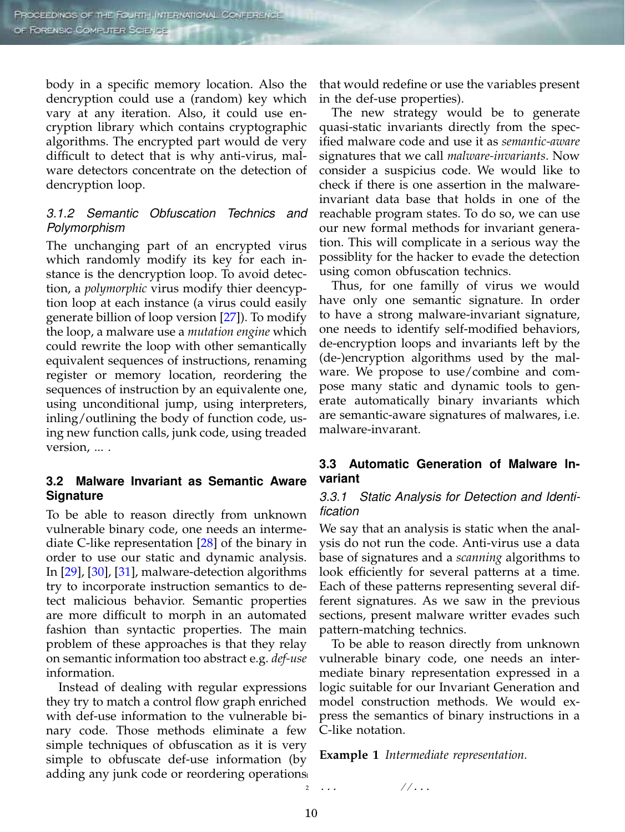body in a specific memory location. Also the dencryption could use a (random) key which vary at any iteration. Also, it could use encryption library which contains cryptographic algorithms. The encrypted part would de very difficult to detect that is why anti-virus, malware detectors concentrate on the detection of dencryption loop.

### *3.1.2 Semantic Obfuscation Technics and Polymorphism*

The unchanging part of an encrypted virus which randomly modify its key for each instance is the dencryption loop. To avoid detection, a *polymorphic* virus modify thier deencyption loop at each instance (a virus could easily generate billion of loop version [27]). To modify the loop, a malware use a *mutation engine* which could rewrite the loop with other semantically equivalent sequences of instructions, renaming register or memory location, reordering the sequences of instruction by an equivalente one, using unconditional jump, using interpreters, inling/outlining the body of function code, using new function calls, junk code, using treaded version, ...

### **3.2 Malware Invariant as Semantic Aware Signature**

To be able to reason directly from unknown vulnerable binary code, one needs an intermediate C-like representation [28] of the binary in order to use our static and dynamic analysis. In [29], [30], [31], malware-detection algorithms try to incorporate instruction semantics to detect malicious behavior. Semantic properties are more difficult to morph in an automated fashion than syntactic properties. The main problem of these approaches is that they relay on semantic information too abstract e.g. *def-use* information.

Instead of dealing with regular expressions they try to match a control flow graph enriched with def-use information to the vulnerable binary code. Those methods eliminate a few simple techniques of obfuscation as it is very simple to obfuscate def-use information (by adding any junk code or reordering operations 1 that would redefine or use the variables present in the def-use properties).

The new strategy would be to generate quasi-static invariants directly from the specified malware code and use it as *semantic-aware* signatures that we call *malware-invariants*. Now consider a suspicius code. We would like to check if there is one assertion in the malwareinvariant data base that holds in one of the reachable program states. To do so, we can use our new formal methods for invariant generation. This will complicate in a serious way the possiblity for the hacker to evade the detection using comon obfuscation technics.

Thus, for one familly of virus we would have only one semantic signature. In order to have a strong malware-invariant signature, one needs to identify self-modified behaviors, de-encryption loops and invariants left by the (de-)encryption algorithms used by the malware. We propose to use/combine and compose many static and dynamic tools to generate automatically binary invariants which are semantic-aware signatures of malwares, i.e. malware-invarant.

#### **3.3 Automatic Generation of Malware Invariant**

#### *3.3.1 Static Analysis for Detection and Identification*

We say that an analysis is static when the analysis do not run the code. Anti-virus use a data base of signatures and a *scanning* algorithms to look efficiently for several patterns at a time. Each of these patterns representing several different signatures. As we saw in the previous sections, present malware writter evades such pattern-matching technics.

To be able to reason directly from unknown vulnerable binary code, one needs an intermediate binary representation expressed in a logic suitable for our Invariant Generation and model construction methods. We would express the semantics of binary instructions in a C-like notation.

**Example 1** *Intermediate representation.*

<sup>2</sup> *... //...*

10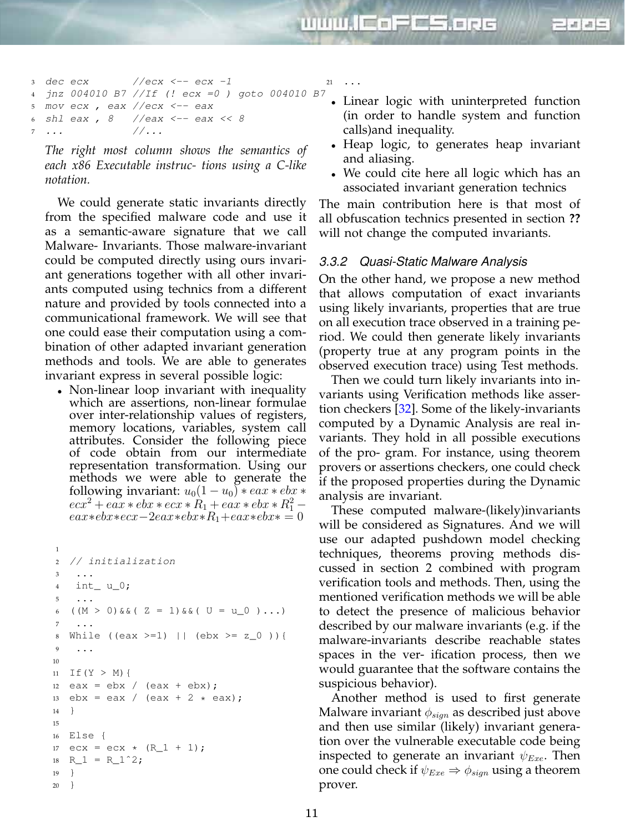

 *dec ecx //ecx <-- ecx -1 jnz 004010 B7 //If (! ecx =0 ) goto 004010 B7 mov ecx , eax //ecx <-- eax shl eax , 8 //eax <-- eax << 8 ... //...*  $21 \quad . \quad . \quad .$ 

*The right most column shows the semantics of each x86 Executable instruc- tions using a C-like notation.*

We could generate static invariants directly from the specified malware code and use it as a semantic-aware signature that we call Malware- Invariants. Those malware-invariant could be computed directly using ours invariant generations together with all other invariants computed using technics from a different nature and provided by tools connected into a communicational framework. We will see that one could ease their computation using a combination of other adapted invariant generation methods and tools. We are able to generates invariant express in several possible logic:

<sup>∙</sup> Non-linear loop invariant with inequality which are assertions, non-linear formulae over inter-relationship values of registers, memory locations, variables, system call attributes. Consider the following piece of code obtain from our intermediate representation transformation. Using our methods we were able to generate the following invariant:  $u_0(1 - u_0) * eax * ebx *$  $ecx^2 + eax * ebx * ecx * R_1 + eax * ebx * R_1^2$  $eax*ebx*ecx-2eax*ebx*B_1+eax*ebx* = 0$ 

```
1
2 // initialization
3 ...
4 int_ u_0;
5 \cdot \cdot \cdot6 ((M > 0) \& (Z = 1) \& (U = u_0) \ldots)7 ...
8 While ((eax >=1) || (ebx >= z_0 )){
9 ...
10
11 If(Y > M){
12 eax = ebx / (ex + ebx);13 ebx = eax / (eax + 2 * eax);
14 }
15
16 Else {
17 ecx = ecx * (R_1 + 1);18 R_1 = R_1<sup>2</sup>;
19 }
20 }
```
<sup>∙</sup> Linear logic with uninterpreted function (in order to handle system and function calls)and inequality.

- <sup>∙</sup> Heap logic, to generates heap invariant and aliasing.
- <sup>∙</sup> We could cite here all logic which has an associated invariant generation technics

The main contribution here is that most of all obfuscation technics presented in section **??** will not change the computed invariants.

### *3.3.2 Quasi-Static Malware Analysis*

On the other hand, we propose a new method that allows computation of exact invariants using likely invariants, properties that are true on all execution trace observed in a training period. We could then generate likely invariants (property true at any program points in the observed execution trace) using Test methods.

Then we could turn likely invariants into invariants using Verification methods like assertion checkers [32]. Some of the likely-invariants computed by a Dynamic Analysis are real invariants. They hold in all possible executions of the pro- gram. For instance, using theorem provers or assertions checkers, one could check if the proposed properties during the Dynamic analysis are invariant.

These computed malware-(likely)invariants will be considered as Signatures. And we will use our adapted pushdown model checking techniques, theorems proving methods discussed in section 2 combined with program verification tools and methods. Then, using the mentioned verification methods we will be able to detect the presence of malicious behavior described by our malware invariants (e.g. if the malware-invariants describe reachable states spaces in the ver- ification process, then we would guarantee that the software contains the suspicious behavior).

Another method is used to first generate Malware invariant  $\phi_{sign}$  as described just above and then use similar (likely) invariant generation over the vulnerable executable code being inspected to generate an invariant  $\psi_{Exec}$ . Then one could check if  $\psi_{Exe} \Rightarrow \phi_{sign}$  using a theorem prover.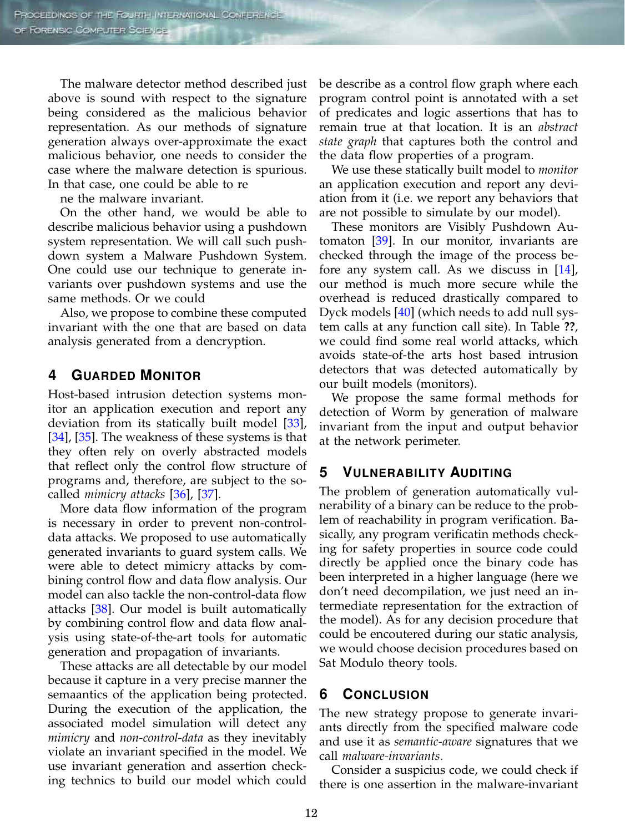The malware detector method described just above is sound with respect to the signature being considered as the malicious behavior representation. As our methods of signature generation always over-approximate the exact malicious behavior, one needs to consider the case where the malware detection is spurious. In that case, one could be able to re

ne the malware invariant.

On the other hand, we would be able to describe malicious behavior using a pushdown system representation. We will call such pushdown system a Malware Pushdown System. One could use our technique to generate invariants over pushdown systems and use the same methods. Or we could

Also, we propose to combine these computed invariant with the one that are based on data analysis generated from a dencryption.

## **4 GUARDED MONITOR**

Host-based intrusion detection systems monitor an application execution and report any deviation from its statically built model [33], [34], [35]. The weakness of these systems is that they often rely on overly abstracted models that reflect only the control flow structure of programs and, therefore, are subject to the socalled *mimicry attacks* [36], [37].

More data flow information of the program is necessary in order to prevent non-controldata attacks. We proposed to use automatically generated invariants to guard system calls. We were able to detect mimicry attacks by combining control flow and data flow analysis. Our model can also tackle the non-control-data flow attacks [38]. Our model is built automatically by combining control flow and data flow analysis using state-of-the-art tools for automatic generation and propagation of invariants.

These attacks are all detectable by our model because it capture in a very precise manner the semaantics of the application being protected. During the execution of the application, the associated model simulation will detect any *mimicry* and *non-control-data* as they inevitably violate an invariant specified in the model. We use invariant generation and assertion checking technics to build our model which could

be describe as a control flow graph where each program control point is annotated with a set of predicates and logic assertions that has to remain true at that location. It is an *abstract state graph* that captures both the control and the data flow properties of a program.

We use these statically built model to *monitor* an application execution and report any deviation from it (i.e. we report any behaviors that are not possible to simulate by our model).

These monitors are Visibly Pushdown Automaton [39]. In our monitor, invariants are checked through the image of the process before any system call. As we discuss in [14], our method is much more secure while the overhead is reduced drastically compared to Dyck models [40] (which needs to add null system calls at any function call site). In Table **??**, we could find some real world attacks, which avoids state-of-the arts host based intrusion detectors that was detected automatically by our built models (monitors).

We propose the same formal methods for detection of Worm by generation of malware invariant from the input and output behavior at the network perimeter.

## **5 VULNERABILITY AUDITING**

The problem of generation automatically vulnerability of a binary can be reduce to the problem of reachability in program verification. Basically, any program verificatin methods checking for safety properties in source code could directly be applied once the binary code has been interpreted in a higher language (here we don't need decompilation, we just need an intermediate representation for the extraction of the model). As for any decision procedure that could be encoutered during our static analysis, we would choose decision procedures based on Sat Modulo theory tools.

## **6 CONCLUSION**

The new strategy propose to generate invariants directly from the specified malware code and use it as *semantic-aware* signatures that we call *malware-invariants*.

Consider a suspicius code, we could check if there is one assertion in the malware-invariant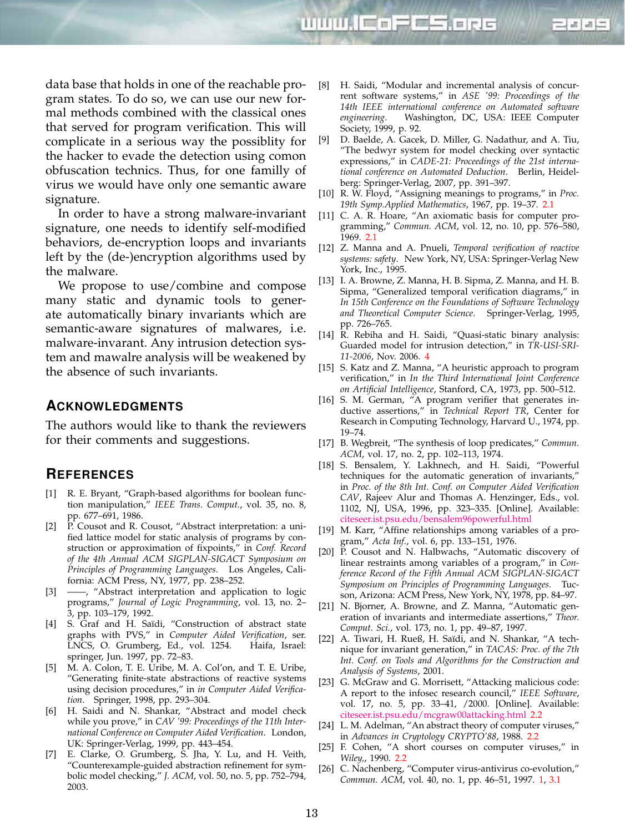www.lEoFCS.opc



In order to have a strong malware-invariant signature, one needs to identify self-modified behaviors, de-encryption loops and invariants left by the (de-)encryption algorithms used by the malware.

We propose to use/combine and compose many static and dynamic tools to generate automatically binary invariants which are semantic-aware signatures of malwares, i.e. malware-invarant. Any intrusion detection system and mawalre analysis will be weakened by the absence of such invariants.

#### **ACKNOWLEDGMENTS**

The authors would like to thank the reviewers for their comments and suggestions.

#### **REFERENCES**

- [1] R. E. Bryant, "Graph-based algorithms for boolean function manipulation," *IEEE Trans. Comput.*, vol. 35, no. 8, pp. 677–691, 1986.
- [2] P. Cousot and R. Cousot, "Abstract interpretation: a unified lattice model for static analysis of programs by construction or approximation of fixpoints," in *Conf. Record of the 4th Annual ACM SIGPLAN-SIGACT Symposium on Principles of Programming Languages*. Los Angeles, California: ACM Press, NY, 1977, pp. 238–252.
- [3] —, "Abstract interpretation and application to logic programs," *Journal of Logic Programming*, vol. 13, no. 2– 3, pp. 103–179, 1992.
- [4] S. Graf and H. Saïdi, "Construction of abstract state graphs with PVS," in *Computer Aided Verification*, ser. LNCS, O. Grumberg, Ed., vol. 1254. Haifa, Israel: springer, Jun. 1997, pp. 72–83.
- [5] M. A. Colon, T. E. Uribe, M. A. Col'on, and T. E. Uribe, "Generating finite-state abstractions of reactive systems using decision procedures," in *in Computer Aided Verification*. Springer, 1998, pp. 293–304.
- [6] H. Saidi and N. Shankar, "Abstract and model check while you prove," in *CAV '99: Proceedings of the 11th International Conference on Computer Aided Verification*. London, UK: Springer-Verlag, 1999, pp. 443–454.
- [7] E. Clarke, O. Grumberg, S. Jha, Y. Lu, and H. Veith, "Counterexample-guided abstraction refinement for symbolic model checking," *J. ACM*, vol. 50, no. 5, pp. 752–794, 2003.

[8] H. Saidi, "Modular and incremental analysis of concurrent software systems," in *ASE '99: Proceedings of the 14th IEEE international conference on Automated software engineering*. Washington, DC, USA: IEEE Computer Society, 1999, p. 92.

디레헤드

- [9] D. Baelde, A. Gacek, D. Miller, G. Nadathur, and A. Tiu, "The bedwyr system for model checking over syntactic expressions," in *CADE-21: Proceedings of the 21st international conference on Automated Deduction*. Berlin, Heidelberg: Springer-Verlag, 2007, pp. 391–397.
- [10] R. W. Floyd, "Assigning meanings to programs," in *Proc. 19th Symp.Applied Mathematics*, 1967, pp. 19–37. 2.1
- [11] C. A. R. Hoare, "An axiomatic basis for computer programming," *Commun. ACM*, vol. 12, no. 10, pp. 576–580, 1969. 2.1
- [12] Z. Manna and A. Pnueli, *Temporal verification of reactive systems: safety*. New York, NY, USA: Springer-Verlag New York, Inc., 1995.
- [13] I. A. Browne, Z. Manna, H. B. Sipma, Z. Manna, and H. B. Sipma, "Generalized temporal verification diagrams," in *In 15th Conference on the Foundations of Software Technology and Theoretical Computer Science*. Springer-Verlag, 1995, pp. 726–765.
- [14] R. Rebiha and H. Saidi, "Quasi-static binary analysis: Guarded model for intrusion detection," in *TR-USI-SRI-11-2006*, Nov. 2006. 4
- [15] S. Katz and Z. Manna, "A heuristic approach to program verification," in *In the Third International Joint Conference on Artificial Intelligence*, Stanford, CA, 1973, pp. 500–512.
- [16] S. M. German, "A program verifier that generates inductive assertions," in *Technical Report TR*, Center for Research in Computing Technology, Harvard U., 1974, pp. 19–74.
- [17] B. Wegbreit, "The synthesis of loop predicates," *Commun. ACM*, vol. 17, no. 2, pp. 102–113, 1974.
- [18] S. Bensalem, Y. Lakhnech, and H. Saidi, "Powerful techniques for the automatic generation of invariants," in *Proc. of the 8th Int. Conf. on Computer Aided Verification CAV*, Rajeev Alur and Thomas A. Henzinger, Eds., vol. 1102, NJ, USA, 1996, pp. 323–335. [Online]. Available: citeseer.ist.psu.edu/bensalem96powerful.html
- [19] M. Karr, "Affine relationships among variables of a program," *Acta Inf.*, vol. 6, pp. 133–151, 1976.
- [20] P. Cousot and N. Halbwachs, "Automatic discovery of linear restraints among variables of a program," in *Conference Record of the Fifth Annual ACM SIGPLAN-SIGACT Symposium on Principles of Programming Languages*. Tucson, Arizona: ACM Press, New York, NY, 1978, pp. 84–97.
- [21] N. Bjorner, A. Browne, and Z. Manna, "Automatic generation of invariants and intermediate assertions," *Theor. Comput. Sci.*, vol. 173, no. 1, pp. 49–87, 1997.
- [22] A. Tiwari, H. Rueß, H. Saïdi, and N. Shankar, "A technique for invariant generation," in *TACAS: Proc. of the 7th Int. Conf. on Tools and Algorithms for the Construction and Analysis of Systems*, 2001.
- [23] G. McGraw and G. Morrisett, "Attacking malicious code: A report to the infosec research council," *IEEE Software*, vol. 17, no. 5, pp. 33–41, /2000. [Online]. Available: citeseer.ist.psu.edu/mcgraw00attacking.html 2.2
- [24] L. M. Adelman, "An abstract theory of computer viruses," in *Advances in Cryptology CRYPTO'88*, 1988. 2.2
- [25] F. Cohen, "A short courses on computer viruses," in *Wiley,*, 1990. 2.2
- [26] C. Nachenberg, "Computer virus-antivirus co-evolution," *Commun. ACM*, vol. 40, no. 1, pp. 46–51, 1997. 1, 3.1